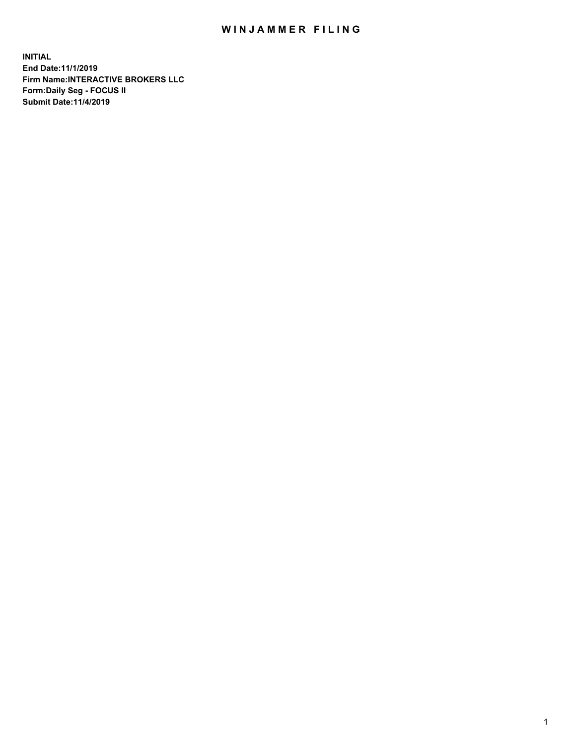## WIN JAMMER FILING

**INITIAL End Date:11/1/2019 Firm Name:INTERACTIVE BROKERS LLC Form:Daily Seg - FOCUS II Submit Date:11/4/2019**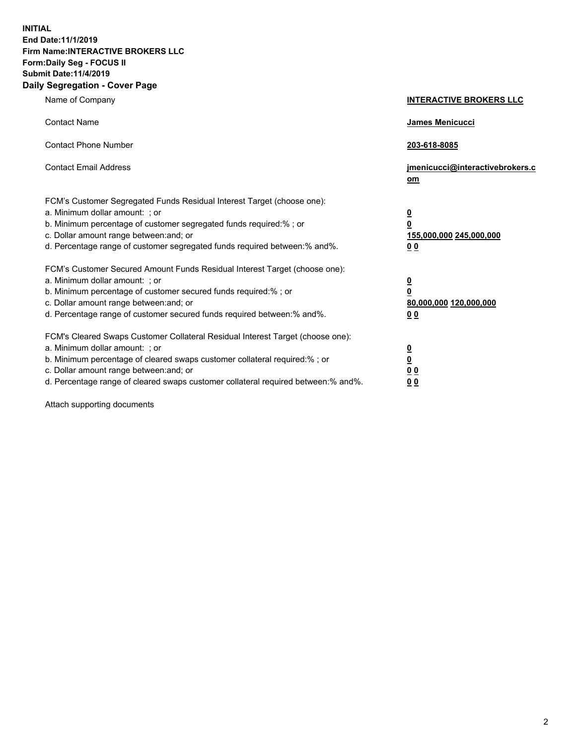**INITIAL End Date:11/1/2019 Firm Name:INTERACTIVE BROKERS LLC Form:Daily Seg - FOCUS II Submit Date:11/4/2019 Daily Segregation - Cover Page**

| Name of Company                                                                                                                                                                                                                                                                                                                | <b>INTERACTIVE BROKERS LLC</b>                                                                  |
|--------------------------------------------------------------------------------------------------------------------------------------------------------------------------------------------------------------------------------------------------------------------------------------------------------------------------------|-------------------------------------------------------------------------------------------------|
| <b>Contact Name</b>                                                                                                                                                                                                                                                                                                            | James Menicucci                                                                                 |
| <b>Contact Phone Number</b>                                                                                                                                                                                                                                                                                                    | 203-618-8085                                                                                    |
| <b>Contact Email Address</b>                                                                                                                                                                                                                                                                                                   | jmenicucci@interactivebrokers.c<br>om                                                           |
| FCM's Customer Segregated Funds Residual Interest Target (choose one):<br>a. Minimum dollar amount: ; or<br>b. Minimum percentage of customer segregated funds required:% ; or<br>c. Dollar amount range between: and; or<br>d. Percentage range of customer segregated funds required between:% and%.                         | $\overline{\mathbf{0}}$<br>$\overline{\mathbf{0}}$<br>155,000,000 245,000,000<br>0 <sub>0</sub> |
| FCM's Customer Secured Amount Funds Residual Interest Target (choose one):<br>a. Minimum dollar amount: ; or<br>b. Minimum percentage of customer secured funds required:% ; or<br>c. Dollar amount range between: and; or<br>d. Percentage range of customer secured funds required between:% and%.                           | $\overline{\mathbf{0}}$<br>0<br>80,000,000 120,000,000<br>0 <sub>0</sub>                        |
| FCM's Cleared Swaps Customer Collateral Residual Interest Target (choose one):<br>a. Minimum dollar amount: ; or<br>b. Minimum percentage of cleared swaps customer collateral required:% ; or<br>c. Dollar amount range between: and; or<br>d. Percentage range of cleared swaps customer collateral required between:% and%. | $\overline{\mathbf{0}}$<br><u>0</u><br>$\underline{0}$ $\underline{0}$<br>00                    |

Attach supporting documents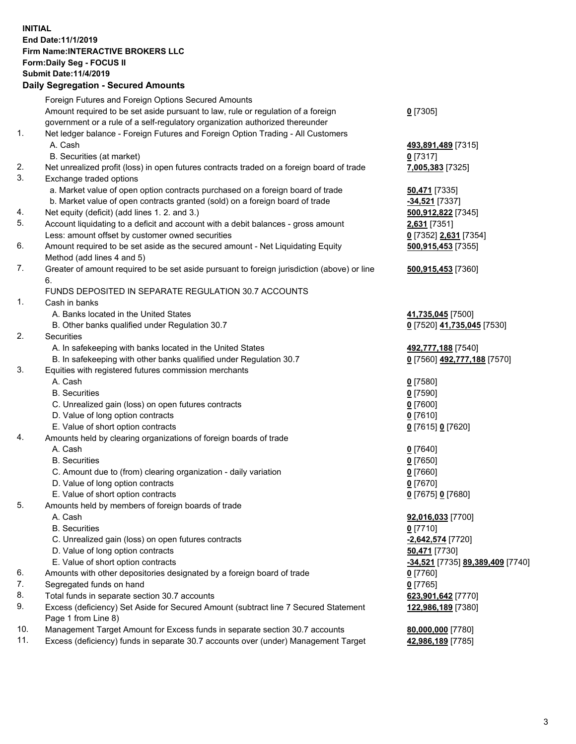## **INITIAL End Date:11/1/2019 Firm Name:INTERACTIVE BROKERS LLC Form:Daily Seg - FOCUS II Submit Date:11/4/2019 Daily Segregation - Secured Amounts**

|     | Daily Segregation - Secured Amounts                                                                        |                                  |
|-----|------------------------------------------------------------------------------------------------------------|----------------------------------|
|     | Foreign Futures and Foreign Options Secured Amounts                                                        |                                  |
|     | Amount required to be set aside pursuant to law, rule or regulation of a foreign                           | $0$ [7305]                       |
|     | government or a rule of a self-regulatory organization authorized thereunder                               |                                  |
| 1.  | Net ledger balance - Foreign Futures and Foreign Option Trading - All Customers                            |                                  |
|     | A. Cash                                                                                                    | 493,891,489 [7315]               |
|     | B. Securities (at market)                                                                                  | $0$ [7317]                       |
| 2.  | Net unrealized profit (loss) in open futures contracts traded on a foreign board of trade                  | 7,005,383 [7325]                 |
| 3.  | Exchange traded options                                                                                    |                                  |
|     | a. Market value of open option contracts purchased on a foreign board of trade                             | 50,471 [7335]                    |
|     | b. Market value of open contracts granted (sold) on a foreign board of trade                               | $-34,521$ [7337]                 |
| 4.  | Net equity (deficit) (add lines 1. 2. and 3.)                                                              | 500,912,822 [7345]               |
| 5.  | Account liquidating to a deficit and account with a debit balances - gross amount                          | 2,631 [7351]                     |
|     | Less: amount offset by customer owned securities                                                           | 0 [7352] 2,631 [7354]            |
| 6.  | Amount required to be set aside as the secured amount - Net Liquidating Equity                             | 500,915,453 [7355]               |
|     | Method (add lines 4 and 5)                                                                                 |                                  |
| 7.  | Greater of amount required to be set aside pursuant to foreign jurisdiction (above) or line                | 500,915,453 [7360]               |
|     | 6.                                                                                                         |                                  |
|     | FUNDS DEPOSITED IN SEPARATE REGULATION 30.7 ACCOUNTS                                                       |                                  |
| 1.  | Cash in banks                                                                                              |                                  |
|     | A. Banks located in the United States                                                                      | 41,735,045 [7500]                |
|     | B. Other banks qualified under Regulation 30.7                                                             | 0 [7520] 41,735,045 [7530]       |
| 2.  | Securities                                                                                                 |                                  |
|     | A. In safekeeping with banks located in the United States                                                  | 492,777,188 [7540]               |
|     | B. In safekeeping with other banks qualified under Regulation 30.7                                         | 0 [7560] 492,777,188 [7570]      |
| 3.  | Equities with registered futures commission merchants                                                      |                                  |
|     | A. Cash                                                                                                    | $0$ [7580]                       |
|     | <b>B.</b> Securities                                                                                       | $0$ [7590]                       |
|     | C. Unrealized gain (loss) on open futures contracts                                                        | $0$ [7600]                       |
|     | D. Value of long option contracts                                                                          | $0$ [7610]                       |
|     | E. Value of short option contracts                                                                         | 0 [7615] 0 [7620]                |
| 4.  | Amounts held by clearing organizations of foreign boards of trade                                          |                                  |
|     | A. Cash                                                                                                    | $0$ [7640]                       |
|     | <b>B.</b> Securities                                                                                       | $0$ [7650]                       |
|     | C. Amount due to (from) clearing organization - daily variation                                            | $0$ [7660]                       |
|     | D. Value of long option contracts                                                                          | $0$ [7670]                       |
|     | E. Value of short option contracts                                                                         | 0 [7675] 0 [7680]                |
| 5.  | Amounts held by members of foreign boards of trade                                                         |                                  |
|     | A. Cash                                                                                                    | 92,016,033 [7700]                |
|     | <b>B.</b> Securities                                                                                       | $0$ [7710]                       |
|     | C. Unrealized gain (loss) on open futures contracts                                                        | -2,642,574 [7720]                |
|     | D. Value of long option contracts                                                                          | 50,471 [7730]                    |
|     | E. Value of short option contracts                                                                         | -34,521 [7735] 89,389,409 [7740] |
| 6.  | Amounts with other depositories designated by a foreign board of trade                                     | 0 [7760]                         |
| 7.  | Segregated funds on hand                                                                                   | $0$ [7765]                       |
| 8.  | Total funds in separate section 30.7 accounts                                                              | 623,901,642 [7770]               |
| 9.  | Excess (deficiency) Set Aside for Secured Amount (subtract line 7 Secured Statement<br>Page 1 from Line 8) | 122,986,189 [7380]               |
| 10. | Management Target Amount for Excess funds in separate section 30.7 accounts                                | 80,000,000 [7780]                |
| 11. | Excess (deficiency) funds in separate 30.7 accounts over (under) Management Target                         | 42,986,189 [7785]                |
|     |                                                                                                            |                                  |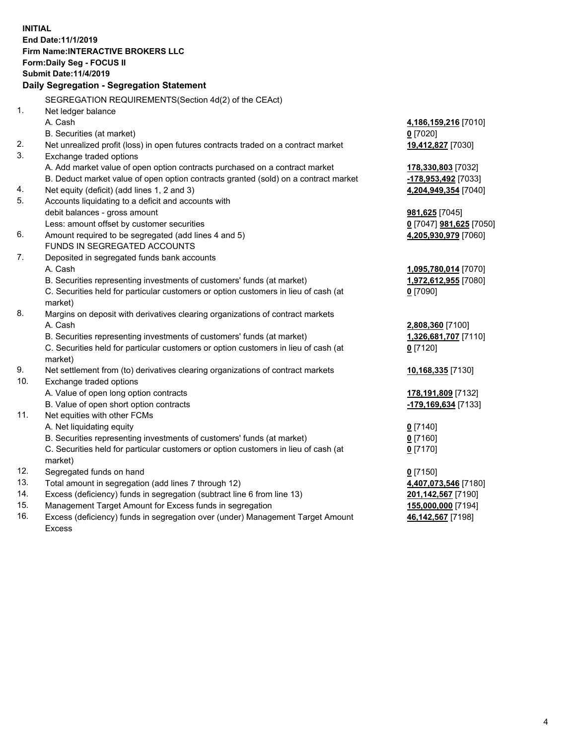**INITIAL End Date:11/1/2019 Firm Name:INTERACTIVE BROKERS LLC Form:Daily Seg - FOCUS II Submit Date:11/4/2019 Daily Segregation - Segregation Statement** SEGREGATION REQUIREMENTS(Section 4d(2) of the CEAct) 1. Net ledger balance A. Cash **4,186,159,216** [7010] B. Securities (at market) **0** [7020] 2. Net unrealized profit (loss) in open futures contracts traded on a contract market **19,412,827** [7030] 3. Exchange traded options A. Add market value of open option contracts purchased on a contract market **178,330,803** [7032] B. Deduct market value of open option contracts granted (sold) on a contract market **-178,953,492** [7033] 4. Net equity (deficit) (add lines 1, 2 and 3) **4,204,949,354** [7040] 5. Accounts liquidating to a deficit and accounts with debit balances - gross amount **981,625** [7045] Less: amount offset by customer securities **0** [7047] **981,625** [7050] 6. Amount required to be segregated (add lines 4 and 5) **4,205,930,979** [7060] FUNDS IN SEGREGATED ACCOUNTS 7. Deposited in segregated funds bank accounts A. Cash **1,095,780,014** [7070] B. Securities representing investments of customers' funds (at market) **1,972,612,955** [7080] C. Securities held for particular customers or option customers in lieu of cash (at market) **0** [7090] 8. Margins on deposit with derivatives clearing organizations of contract markets A. Cash **2,808,360** [7100] B. Securities representing investments of customers' funds (at market) **1,326,681,707** [7110] C. Securities held for particular customers or option customers in lieu of cash (at market) **0** [7120] 9. Net settlement from (to) derivatives clearing organizations of contract markets **10,168,335** [7130] 10. Exchange traded options A. Value of open long option contracts **178,191,809** [7132] B. Value of open short option contracts **-179,169,634** [7133] 11. Net equities with other FCMs A. Net liquidating equity **0** [7140] B. Securities representing investments of customers' funds (at market) **0** [7160] C. Securities held for particular customers or option customers in lieu of cash (at market) **0** [7170] 12. Segregated funds on hand **0** [7150] 13. Total amount in segregation (add lines 7 through 12) **4,407,073,546** [7180] 14. Excess (deficiency) funds in segregation (subtract line 6 from line 13) **201,142,567** [7190] 15. Management Target Amount for Excess funds in segregation **155,000,000** [7194] **46,142,567** [7198]

16. Excess (deficiency) funds in segregation over (under) Management Target Amount Excess